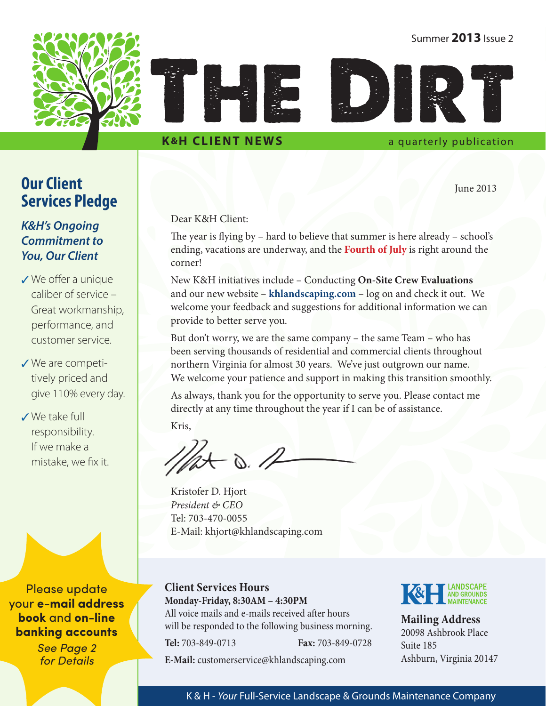## Summer **2013** Issue 2





## **K&H CLIENT NEWS** a quarterly publication

June 2013

## **Our Client Services Pledge**

## *K&H's Ongoing Commitment to You, Our Client*

- $\checkmark$  We offer a unique caliber of service – Great workmanship, performance, and customer service.
- $\checkmark$  We are competitively priced and give 110% every day.
- 3 We take full responsibility. If we make a mistake, we fix it.

Please update your **e-mail address book** and **on-line banking accounts**

> See Page 2 for Details

Dear K&H Client:

The year is flying by – hard to believe that summer is here already – school's ending, vacations are underway, and the **Fourth of July** is right around the corner!

New K&H initiatives include – Conducting **On-Site Crew Evaluations** and our new website – **[khlandscaping.com](http://khlandscaping.com)** – log on and check it out. We welcome your feedback and suggestions for additional information we can provide to better serve you.

But don't worry, we are the same company – the same Team – who has been serving thousands of residential and commercial clients throughout northern Virginia for almost 30 years. We've just outgrown our name. We welcome your patience and support in making this transition smoothly.

As always, thank you for the opportunity to serve you. Please contact me directly at any time throughout the year if I can be of assistance.

Kris,

 $-\infty$ .

Kristofer D. Hjort *President & CEO*  Tel: 703-470-0055 E-Mail: [khjort@khlandscaping.com](mailto:khjort@khlandscaping.com)

**Client Services Hours Monday-Friday, 8:30AM – 4:30PM** All voice mails and e-mails received after hours will be responded to the following business morning. **Tel:** 703-849-0713 **Fax:** 703-849-0728 **E-Mail:** [customerservice@khlandscaping.com](mailto:customerservice@khlandscaping.com)



**Mailing Address** 20098 Ashbrook Place Suite 185 Ashburn, Virginia 20147

## K & H - *Your* Full-Service Landscape & Grounds Maintenance Company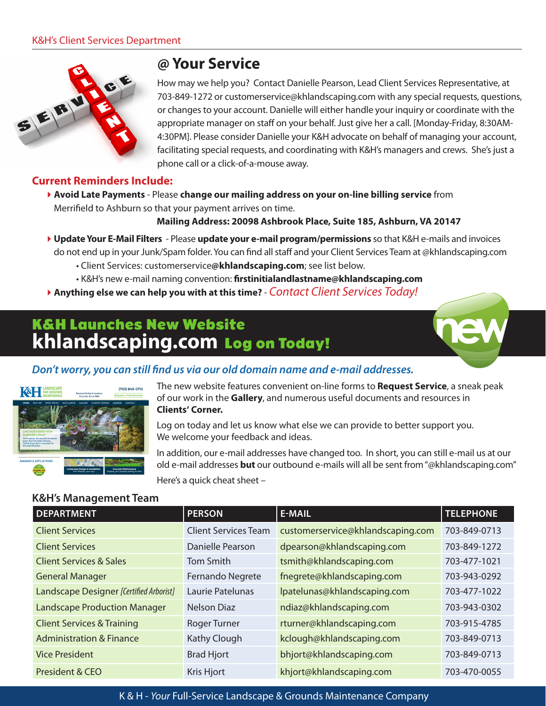

# **@ Your Service**

How may we help you? Contact Danielle Pearson, Lead Client Services Representative, at 703-849-1272 or [customerservice@khlandscaping.com](mailto:customerservice@khlandscaping.com) with any special requests, questions, or changes to your account. Danielle will either handle your inquiry or coordinate with the appropriate manager on staff on your behalf. Just give her a call. [Monday-Friday, 8:30AM-4:30PM]. Please consider Danielle your K&H advocate on behalf of managing your account, facilitating special requests, and coordinating with K&H's managers and crews. She's just a phone call or a click-of-a-mouse away.

## **Current Reminders Include:**

4**Avoid Late Payments** - Please **change our mailing address on your on-line billing service** from Merrifield to Ashburn so that your payment arrives on time.

**Mailing Address: 20098 Ashbrook Place, Suite 185, Ashburn, VA 20147**

- 4**Update Your E-Mail Filters**  Please **update your e-mail program/permissions** so that K&H e-mails and invoices do not end up in your Junk/Spam folder. You can find all staff and your Client Services Team at @<khlandscaping.com>
	- Client Services: customerservice**[@khlandscaping.com](mailto:customerservice@khlandscaping.com)**; see list below.
	- K&H's new e-mail naming convention: **[firstinitialandlastname@khlandscaping.com](mailto:firstinitialandlastname@khlandscaping.com)**
- 4**Anything else we can help you with at this time?** *Contact Client Services Today!*

# K&H Launches New Website **<khlandscaping.com>** Log on Today!







The new website features convenient on-line forms to **Request Service**, a sneak peak of our work in the **Gallery**, and numerous useful documents and resources in **[Clients' Corner](http://khlandscaping.com/clients-corner/).**

Log on today and let us know what else we can provide to better support you. We welcome your feedback and ideas.

In addition, our e-mail addresses have changed too. In short, you can still e-mail us at our old e-mail addresses **but** our outbound e-mails will all be sent from "[@khlandscaping.com](khlandscaping.com)" Here's a quick cheat sheet –

## **K&H's Management Team**

| <b>DEPARTMENT</b>                       | <b>PERSON</b>               | <b>E-MAIL</b>                     | <b>TELEPHONE</b> |
|-----------------------------------------|-----------------------------|-----------------------------------|------------------|
| <b>Client Services</b>                  | <b>Client Services Team</b> | customerservice@khlandscaping.com | 703-849-0713     |
| <b>Client Services</b>                  | Danielle Pearson            | dpearson@khlandscaping.com        | 703-849-1272     |
| <b>Client Services &amp; Sales</b>      | Tom Smith                   | tsmith@khlandscaping.com          | 703-477-1021     |
| <b>General Manager</b>                  | Fernando Negrete            | fnegrete@khlandscaping.com        | 703-943-0292     |
| Landscape Designer [Certified Arborist] | Laurie Patelunas            | lpatelunas@khlandscaping.com      | 703-477-1022     |
| <b>Landscape Production Manager</b>     | Nelson Diaz                 | ndiaz@khlandscaping.com           | 703-943-0302     |
| <b>Client Services &amp; Training</b>   | <b>Roger Turner</b>         | rturner@khlandscaping.com         | 703-915-4785     |
| <b>Administration &amp; Finance</b>     | Kathy Clough                | kclough@khlandscaping.com         | 703-849-0713     |
| <b>Vice President</b>                   | <b>Brad Hjort</b>           | bhjort@khlandscaping.com          | 703-849-0713     |
| President & CEO                         | Kris Hjort                  | khjort@khlandscaping.com          | 703-470-0055     |

K & H - *Your* Full-Service Landscape & Grounds Maintenance Company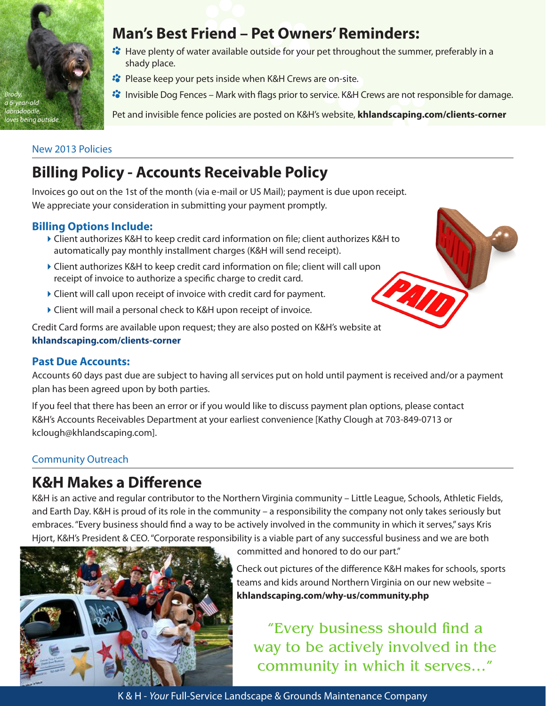

# **Man's Best Friend – Pet Owners' Reminders:**

- <sup>2</sup> Have plenty of water available outside for your pet throughout the summer, preferably in a shady place.
- **<sup>2</sup>** Please keep your pets inside when K&H Crews are on-site.
- **I** Invisible Dog Fences Mark with flags prior to service. K&H Crews are not responsible for damage.

Pet and invisible fence policies are posted on K&H's website, **[khlandscaping.com/clients-](http://khlandscaping.com/clients-corner/)corner**

## New 2013 Policies

# **Billing Policy - Accounts Receivable Policy**

Invoices go out on the 1st of the month (via e-mail or US Mail); payment is due upon receipt. We appreciate your consideration in submitting your payment promptly.

## **Billing Options Include:**

- 4Client authorizes K&H to keep credit card information on file; client authorizes K&H to automatically pay monthly installment charges (K&H will send receipt).
- ▶ Client authorizes K&H to keep credit card information on file; client will call upon receipt of invoice to authorize a specific charge to credit card.
- $\blacktriangleright$  Client will call upon receipt of invoice with credit card for payment.
- 4Client will mail a personal check to K&H upon receipt of invoice.

Credit Card forms are available upon request; they are also posted on K&H's website at **[khlandscaping.com/clients-corner](http://www.khlandscaping.com/clients-corner/)**

## **Past Due Accounts:**

Accounts 60 days past due are subject to having all services put on hold until payment is received and/or a payment plan has been agreed upon by both parties.

If you feel that there has been an error or if you would like to discuss payment plan options, please contact K&H's Accounts Receivables Department at your earliest convenience [Kathy Clough at 703-849-0713 or [kclough@khlandscaping.com\]](mailto:kclough@khlandscaping.com).

## Community Outreach

# **K&H Makes a Difference**

K&H is an active and regular contributor to the Northern Virginia community – Little League, Schools, Athletic Fields, and Earth Day. K&H is proud of its role in the community – a responsibility the company not only takes seriously but embraces. "Every business should find a way to be actively involved in the community in which it serves," says Kris Hjort, K&H's President & CEO. "Corporate responsibility is a viable part of any successful business and we are both



committed and honored to do our part."

Check out pictures of the difference K&H makes for schools, sports teams and kids around Northern Virginia on our new website – **[khlandscaping.com](http://khlandscaping.com/why-us/community.php)/why-us/[community.php](http://khlandscaping.com/why-us/community.php)**

"Every business should find a way to be actively involved in the community in which it serves…"